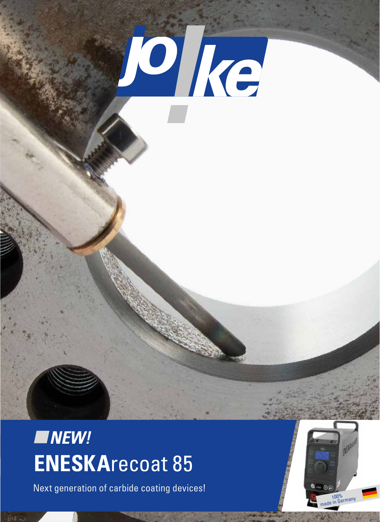

# **ENESKA**recoat 85 *NEW!*

Next generation of carbide coating devices!

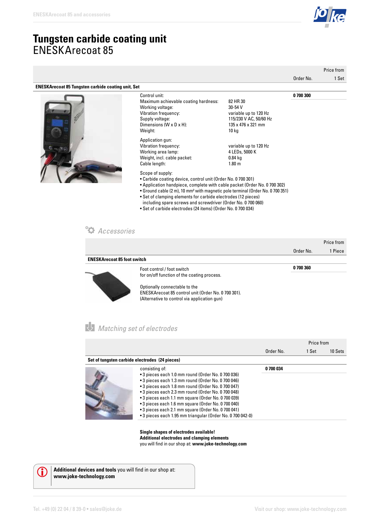### **Tungsten carbide coating unit** ENESKArecoat 85

|                                                           |                                                                                                                                                                                                                                                                                                                                                                                                                                         |                                                                                                       | Price from |       |
|-----------------------------------------------------------|-----------------------------------------------------------------------------------------------------------------------------------------------------------------------------------------------------------------------------------------------------------------------------------------------------------------------------------------------------------------------------------------------------------------------------------------|-------------------------------------------------------------------------------------------------------|------------|-------|
|                                                           |                                                                                                                                                                                                                                                                                                                                                                                                                                         |                                                                                                       | Order No.  | 1 Set |
| <b>ENESKArecoat 85 Tungsten carbide coating unit, Set</b> |                                                                                                                                                                                                                                                                                                                                                                                                                                         |                                                                                                       |            |       |
|                                                           | Control unit:<br>Maximum achievable coating hardness:<br>Working voltage:<br>Vibration frequency:<br>Supply voltage:<br>Dimensions (W x D x H):<br>Weight:                                                                                                                                                                                                                                                                              | 82 HR 30<br>30-54 V<br>variable up to 120 Hz<br>115/230 V AC, 50/60 Hz<br>135 x 476 x 321 mm<br>10 kg | 0700300    |       |
|                                                           | Application gun:<br>Vibration frequency:<br>Working area lamp:<br>Weight, incl. cable packet:<br>Cable length:<br>Scope of supply:<br>• Carbide coating device, control unit (Order No. 0 700 301)<br>$\mathbf{a}$ , and the contract of the contract of the contract of the contract of the contract of the contract of the contract of the contract of the contract of the contract of the contract of the contract of the contract o | variable up to 120 Hz<br>4 LEDs, 5000 K<br>$0.84$ kg<br>1.80 <sub>m</sub>                             |            |       |

- Application handpiece, complete with cable packet (Order No. 0 700 302)
- Ground cable (2 m), 10 mm² with magnetic pole terminal (Order No. 0 700 351)
- Set of clamping elements for carbide electrodes (12 pieces) including spare screws and screwdriver (Order No. 0 700 060)
- Set of carbide electrodes (24 items) (Order No. 0 700 034)

#### *Accessories*

|                                    |                                                     |           | Price from |
|------------------------------------|-----------------------------------------------------|-----------|------------|
|                                    |                                                     | Order No. | 1 Piece    |
| <b>ENESKArecoat 85 foot switch</b> |                                                     |           |            |
|                                    | Foot control / foot switch                          | 0 700 360 |            |
|                                    | for on/off function of the coating process.         |           |            |
|                                    | Optionally connectable to the                       |           |            |
|                                    | ENESKArecoat 85 control unit (Order No. 0 700 301). |           |            |
|                                    | (Alternative to control via application gun)        |           |            |

### *Matching set of electrodes*

|                                                |                                                                                                                                                                                                                                                                                                                                                                                                                                                                           |           | Price from |         |
|------------------------------------------------|---------------------------------------------------------------------------------------------------------------------------------------------------------------------------------------------------------------------------------------------------------------------------------------------------------------------------------------------------------------------------------------------------------------------------------------------------------------------------|-----------|------------|---------|
|                                                |                                                                                                                                                                                                                                                                                                                                                                                                                                                                           | Order No. | 1 Set      | 10 Sets |
| Set of tungsten carbide electrodes (24 pieces) |                                                                                                                                                                                                                                                                                                                                                                                                                                                                           |           |            |         |
|                                                | consisting of:<br>• 3 pieces each 1.0 mm round (Order No. 0 700 036)<br>• 3 pieces each 1.3 mm round (Order No. 0 700 046)<br>• 3 pieces each 1.8 mm round (Order No. 0 700 047)<br>• 3 pieces each 2.3 mm round (Order No. 0 700 048)<br>• 3 pieces each 1.1 mm square (Order No. 0 700 039)<br>• 3 pieces each 1.6 mm square (Order No. 0 700 040)<br>• 3 pieces each 2.1 mm square (Order No. 0 700 041)<br>• 3 pieces each 1.95 mm triangular (Order No. 0 700 042-0) | 0 700 034 |            |         |

**Single shapes of electrodes available! Additional electrodes and clamping elements**  you will find in our shop at: **www.joke-technology.com**



**Additional devices and tools** you will find in our shop at: **www.joke-technology.com**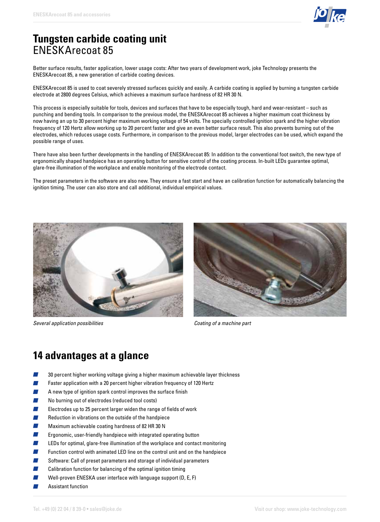

### **Tungsten carbide coating unit**  ENESKArecoat 85

Better surface results, faster application, lower usage costs: After two years of development work, joke Technology presents the ENESKArecoat 85, a new generation of carbide coating devices.

ENESKArecoat 85 is used to coat severely stressed surfaces quickly and easily. A carbide coating is applied by burning a tungsten carbide electrode at 2800 degrees Celsius, which achieves a maximum surface hardness of 82 HR 30 N.

This process is especially suitable for tools, devices and surfaces that have to be especially tough, hard and wear-resistant – such as punching and bending tools. In comparison to the previous model, the ENESKArecoat 85 achieves a higher maximum coat thickness by now having an up to 30 percent higher maximum working voltage of 54 volts. The specially controlled ignition spark and the higher vibration frequency of 120 Hertz allow working up to 20 percent faster and give an even better surface result. This also prevents burning out of the electrodes, which reduces usage costs. Furthermore, in comparison to the previous model, larger electrodes can be used, which expand the possible range of uses.

There have also been further developments in the handling of ENESKArecoat 85: In addition to the conventional foot switch, the new type of ergonomically shaped handpiece has an operating button for sensitive control of the coating process. In-built LEDs guarantee optimal, glare-free illumination of the workplace and enable monitoring of the electrode contact.

The preset parameters in the software are also new. They ensure a fast start and have an calibration function for automatically balancing the ignition timing. The user can also store and call additional, individual empirical values.



*Several application possibilities Coating of a machine part*



### **14 advantages at a glance**

- 30 percent higher working voltage giving a higher maximum achievable layer thickness
- Faster application with a 20 percent higher vibration frequency of 120 Hertz
- A new type of ignition spark control improves the surface finish
- No burning out of electrodes (reduced tool costs)
- Electrodes up to 25 percent larger widen the range of fields of work
- Reduction in vibrations on the outside of the handpiece
- Maximum achievable coating hardness of 82 HR 30 N
- **Contract** Ergonomic, user-friendly handpiece with integrated operating button
- LEDs for optimal, glare-free illumination of the workplace and contact monitoring
- Function control with animated LED line on the control unit and on the handpiece
- Software: Call of preset parameters and storage of individual parameters
- **Contract** Calibration function for balancing of the optimal ignition timing
- Well-proven ENESKA user interface with language support (D, E, F)
- Assistant function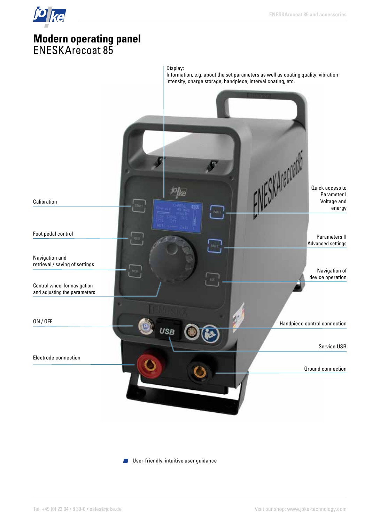## **Modern operating panel** ENESKArecoat 85

 $10$   $\overline{1}$ 



**User-friendly, intuitive user guidance**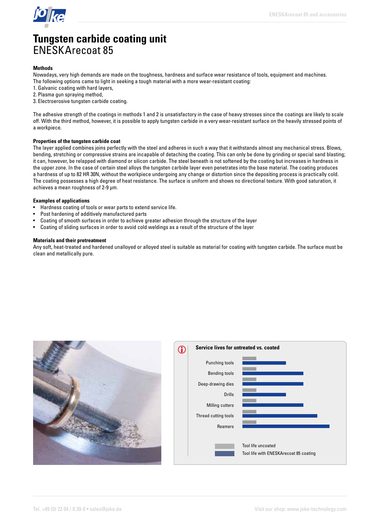

### **Tungsten carbide coating unit**  ENESKArecoat 85

#### **Methods**

Nowadays, very high demands are made on the toughness, hardness and surface wear resistance of tools, equipment and machines. The following options came to light in seeking a tough material with a more wear-resistant coating:

- 1. Galvanic coating with hard layers,
- 2. Plasma gun spraying method,
- 3. Electroerosive tungsten carbide coating.

The adhesive strength of the coatings in methods 1 and 2 is unsatisfactory in the case of heavy stresses since the coatings are likely to scale off. With the third method, however, it is possible to apply tungsten carbide in a very wear-resistant surface on the heavily stressed points of a workpiece.

#### **Properties of the tungsten carbide coat**

The layer applied combines joins perfectly with the steel and adheres in such a way that it withstands almost any mechanical stress. Blows, bending, stretching or compressive strains are incapable of detaching the coating. This can only be done by grinding or special sand blasting; it can, however, be relapped with diamond or silicon carbide. The steel beneath is not softened by the coating but increases in hardness in the upper zone. In the case of certain steel alloys the tungsten carbide layer even penetrates into the base material. The coating produces a hardness of up to 82 HR 30N, without the workpiece undergoing any change or distortion since the depositing process is practically cold. The coating possesses a high degree of heat resistance. The surface is uniform and shows no directional texture. With good saturation, it achieves a mean roughness of 2-9 µm.

#### **Examples of applications**

- Hardness coating of tools or wear parts to extend service life.
- Post hardening of additively manufactured parts
- Coating of smooth surfaces in order to achieve greater adhesion through the structure of the layer
- Coating of sliding surfaces in order to avoid cold weldings as a result of the structure of the layer

#### **Materials and their pretreatment**

Any soft, heat-treated and hardened unalloyed or alloyed steel is suitable as material for coating with tungsten carbide. The surface must be clean and metallically pure.